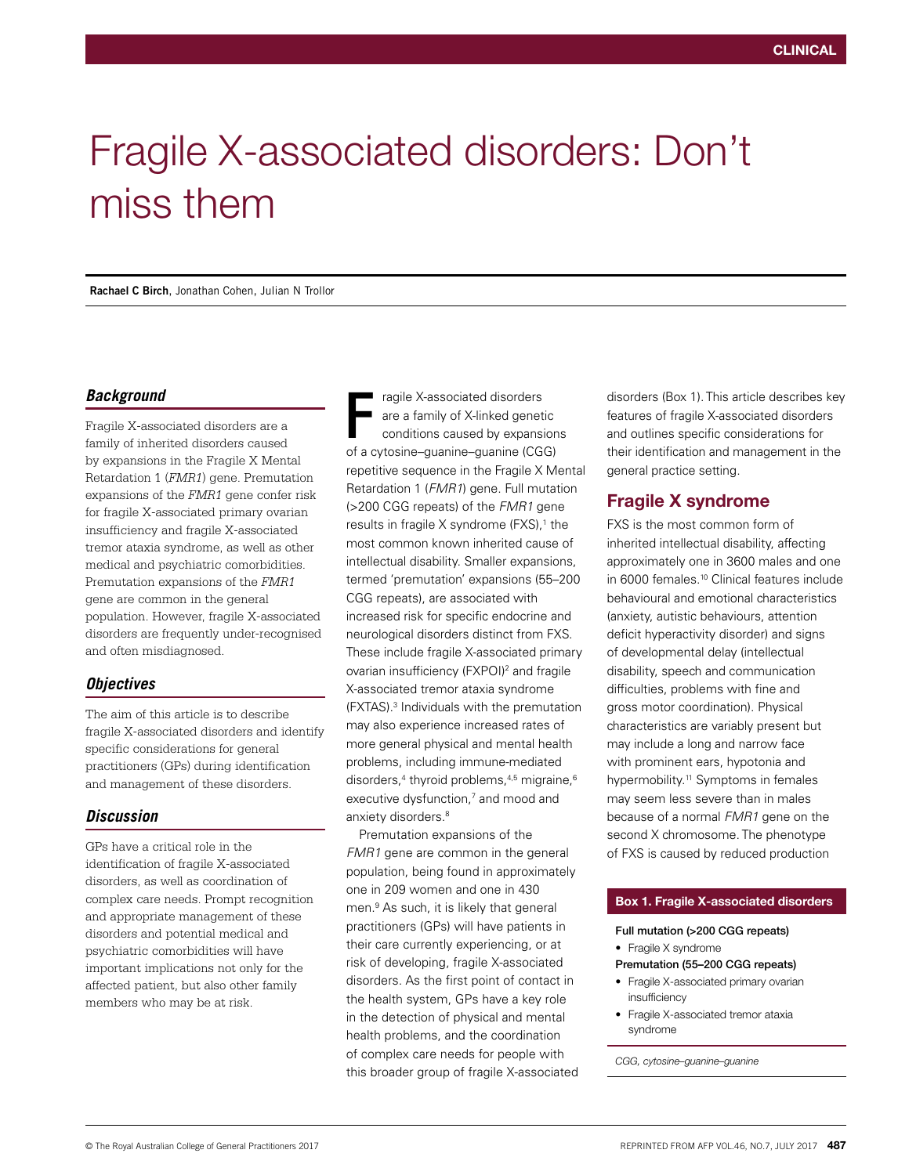# Fragile X-associated disorders: Don't miss them

**Rachael C Birch**, Jonathan Cohen, Julian N Trollor

## *Background*

Fragile X-associated disorders are a family of inherited disorders caused by expansions in the Fragile X Mental Retardation 1 (*FMR1*) gene. Premutation expansions of the *FMR1* gene confer risk for fragile X-associated primary ovarian insufficiency and fragile X-associated tremor ataxia syndrome, as well as other medical and psychiatric comorbidities. Premutation expansions of the *FMR1* gene are common in the general population. However, fragile X-associated disorders are frequently under-recognised and often misdiagnosed.

## *Objectives*

The aim of this article is to describe fragile X-associated disorders and identify specific considerations for general practitioners (GPs) during identification and management of these disorders.

## *Discussion*

GPs have a critical role in the identification of fragile X-associated disorders, as well as coordination of complex care needs. Prompt recognition and appropriate management of these disorders and potential medical and psychiatric comorbidities will have important implications not only for the affected patient, but also other family members who may be at risk.

ragile X-associated disorders are a family of X-linked genetic conditions caused by expansions of a cytosine–guanine–guanine (CGG) repetitive sequence in the Fragile X Mental Retardation 1 (*FMR1*) gene. Full mutation (>200 CGG repeats) of the *FMR1* gene results in fragile  $X$  syndrome (FXS), $<sup>1</sup>$  the</sup> most common known inherited cause of intellectual disability. Smaller expansions, termed 'premutation' expansions (55–200 CGG repeats), are associated with increased risk for specific endocrine and neurological disorders distinct from FXS. These include fragile X-associated primary ovarian insufficiency (FXPOI)<sup>2</sup> and fragile X-associated tremor ataxia syndrome (FXTAS).3 Individuals with the premutation may also experience increased rates of more general physical and mental health problems, including immune-mediated disorders,<sup>4</sup> thyroid problems,<sup>4,5</sup> migraine,<sup>6</sup> executive dysfunction,<sup>7</sup> and mood and anxiety disorders.<sup>8</sup> F

Premutation expansions of the *FMR1* gene are common in the general population, being found in approximately one in 209 women and one in 430 men.9 As such, it is likely that general practitioners (GPs) will have patients in their care currently experiencing, or at risk of developing, fragile X-associated disorders. As the first point of contact in the health system, GPs have a key role in the detection of physical and mental health problems, and the coordination of complex care needs for people with this broader group of fragile X-associated disorders (Box 1). This article describes key features of fragile X-associated disorders and outlines specific considerations for their identification and management in the general practice setting.

# Fragile X syndrome

FXS is the most common form of inherited intellectual disability, affecting approximately one in 3600 males and one in 6000 females.<sup>10</sup> Clinical features include behavioural and emotional characteristics (anxiety, autistic behaviours, attention deficit hyperactivity disorder) and signs of developmental delay (intellectual disability, speech and communication difficulties, problems with fine and gross motor coordination). Physical characteristics are variably present but may include a long and narrow face with prominent ears, hypotonia and hypermobility.<sup>11</sup> Symptoms in females may seem less severe than in males because of a normal *FMR1* gene on the second X chromosome. The phenotype of FXS is caused by reduced production

#### Box 1. Fragile X-associated disorders

- Full mutation (>200 CGG repeats)
	- Fragile X syndrome

#### Premutation (55–200 CGG repeats)

- Fragile X-associated primary ovarian insufficiency
- Fragile X-associated tremor ataxia syndrome

*CGG, cytosine–guanine–guanine*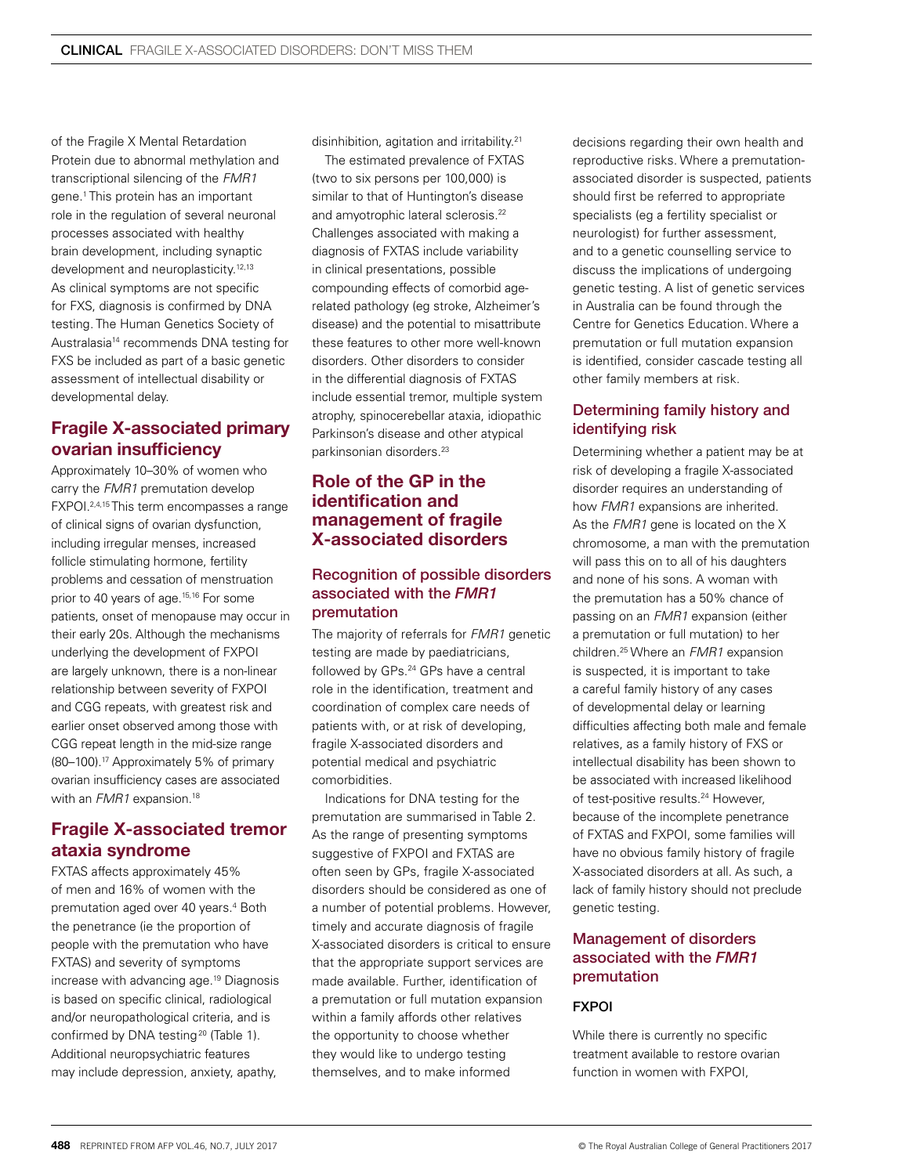of the Fragile X Mental Retardation Protein due to abnormal methylation and transcriptional silencing of the *FMR1* gene.1 This protein has an important role in the regulation of several neuronal processes associated with healthy brain development, including synaptic development and neuroplasticity.<sup>12,13</sup> As clinical symptoms are not specific for FXS, diagnosis is confirmed by DNA testing. The Human Genetics Society of Australasia14 recommends DNA testing for FXS be included as part of a basic genetic assessment of intellectual disability or developmental delay.

# Fragile X-associated primary ovarian insufficiency

Approximately 10–30% of women who carry the *FMR1* premutation develop FXPOI.2,4,15 This term encompasses a range of clinical signs of ovarian dysfunction. including irregular menses, increased follicle stimulating hormone, fertility problems and cessation of menstruation prior to 40 years of age.15,16 For some patients, onset of menopause may occur in their early 20s. Although the mechanisms underlying the development of FXPOI are largely unknown, there is a non-linear relationship between severity of FXPOI and CGG repeats, with greatest risk and earlier onset observed among those with CGG repeat length in the mid-size range (80–100).17 Approximately 5% of primary ovarian insufficiency cases are associated with an *FMR1* expansion.<sup>18</sup>

# Fragile X-associated tremor ataxia syndrome

FXTAS affects approximately 45% of men and 16% of women with the premutation aged over 40 years.<sup>4</sup> Both the penetrance (ie the proportion of people with the premutation who have FXTAS) and severity of symptoms increase with advancing age.19 Diagnosis is based on specific clinical, radiological and/or neuropathological criteria, and is confirmed by DNA testing<sup>20</sup> (Table 1). Additional neuropsychiatric features may include depression, anxiety, apathy,

disinhibition, agitation and irritability.<sup>21</sup>

The estimated prevalence of FXTAS (two to six persons per 100,000) is similar to that of Huntington's disease and amyotrophic lateral sclerosis.<sup>22</sup> Challenges associated with making a diagnosis of FXTAS include variability in clinical presentations, possible compounding effects of comorbid agerelated pathology (eg stroke, Alzheimer's disease) and the potential to misattribute these features to other more well-known disorders. Other disorders to consider in the differential diagnosis of FXTAS include essential tremor, multiple system atrophy, spinocerebellar ataxia, idiopathic Parkinson's disease and other atypical parkinsonian disorders<sup>23</sup>

# Role of the GP in the identification and management of fragile X-associated disorders

## Recognition of possible disorders associated with the *FMR1* premutation

The majority of referrals for *FMR1* genetic testing are made by paediatricians, followed by GPs.24 GPs have a central role in the identification, treatment and coordination of complex care needs of patients with, or at risk of developing, fragile X-associated disorders and potential medical and psychiatric comorbidities.

Indications for DNA testing for the premutation are summarised in Table 2. As the range of presenting symptoms suggestive of FXPOI and FXTAS are often seen by GPs, fragile X-associated disorders should be considered as one of a number of potential problems. However, timely and accurate diagnosis of fragile X-associated disorders is critical to ensure that the appropriate support services are made available. Further, identification of a premutation or full mutation expansion within a family affords other relatives the opportunity to choose whether they would like to undergo testing themselves, and to make informed

decisions regarding their own health and reproductive risks. Where a premutationassociated disorder is suspected, patients should first be referred to appropriate specialists (eg a fertility specialist or neurologist) for further assessment, and to a genetic counselling service to discuss the implications of undergoing genetic testing. A list of genetic services in Australia can be found through the Centre for Genetics Education. Where a premutation or full mutation expansion is identified, consider cascade testing all other family members at risk.

# Determining family history and identifying risk

Determining whether a patient may be at risk of developing a fragile X-associated disorder requires an understanding of how *FMR1* expansions are inherited. As the **FMR1** gene is located on the X chromosome, a man with the premutation will pass this on to all of his daughters and none of his sons. A woman with the premutation has a 50% chance of passing on an *FMR1* expansion (either a premutation or full mutation) to her children.25 Where an *FMR1* expansion is suspected, it is important to take a careful family history of any cases of developmental delay or learning difficulties affecting both male and female relatives, as a family history of FXS or intellectual disability has been shown to be associated with increased likelihood of test-positive results.<sup>24</sup> However, because of the incomplete penetrance of FXTAS and FXPOI, some families will have no obvious family history of fragile X-associated disorders at all. As such, a lack of family history should not preclude genetic testing.

## Management of disorders associated with the *FMR1* premutation

## FXPOI

While there is currently no specific treatment available to restore ovarian function in women with FXPOI,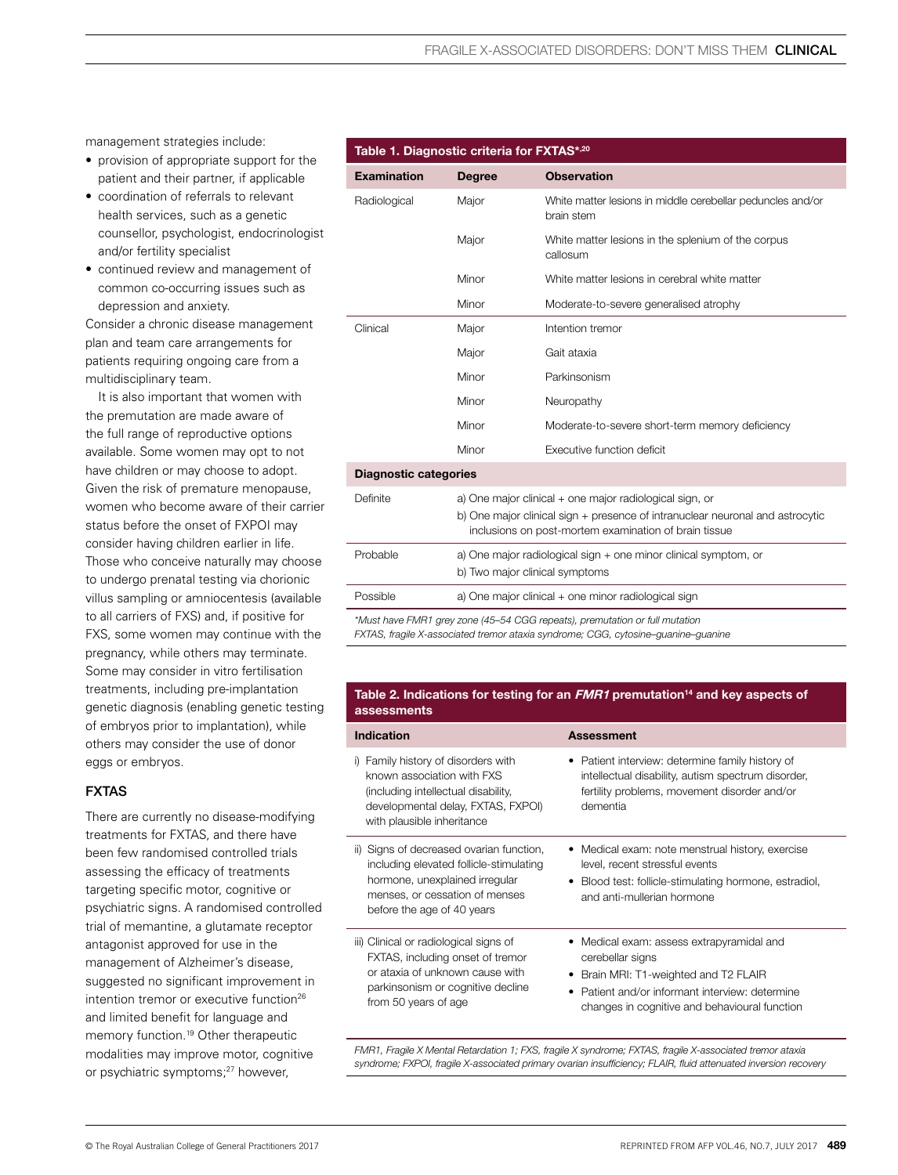management strategies include:

- provision of appropriate support for the patient and their partner, if applicable
- coordination of referrals to relevant health services, such as a genetic counsellor, psychologist, endocrinologist and/or fertility specialist
- continued review and management of common co-occurring issues such as depression and anxiety.

Consider a chronic disease management plan and team care arrangements for patients requiring ongoing care from a multidisciplinary team.

It is also important that women with the premutation are made aware of the full range of reproductive options available. Some women may opt to not have children or may choose to adopt. Given the risk of premature menopause, women who become aware of their carrier status before the onset of FXPOI may consider having children earlier in life. Those who conceive naturally may choose to undergo prenatal testing via chorionic villus sampling or amniocentesis (available to all carriers of FXS) and, if positive for FXS, some women may continue with the pregnancy, while others may terminate. Some may consider in vitro fertilisation treatments, including pre-implantation genetic diagnosis (enabling genetic testing of embryos prior to implantation), while others may consider the use of donor eggs or embryos.

## FXTAS

There are currently no disease-modifying treatments for FXTAS, and there have been few randomised controlled trials assessing the efficacy of treatments targeting specific motor, cognitive or psychiatric signs. A randomised controlled trial of memantine, a glutamate receptor antagonist approved for use in the management of Alzheimer's disease, suggested no significant improvement in intention tremor or executive function<sup>26</sup> and limited benefit for language and memory function.<sup>19</sup> Other therapeutic modalities may improve motor, cognitive or psychiatric symptoms;<sup>27</sup> however,

## Table 1. Diagnostic criteria for FXTAS\*,20

| <b>Examination</b>                                                          | <b>Degree</b>                                                                                                                                                                                     | <b>Observation</b>                                                       |  |  |
|-----------------------------------------------------------------------------|---------------------------------------------------------------------------------------------------------------------------------------------------------------------------------------------------|--------------------------------------------------------------------------|--|--|
| Radiological                                                                | Major                                                                                                                                                                                             | White matter lesions in middle cerebellar peduncles and/or<br>brain stem |  |  |
|                                                                             | Major                                                                                                                                                                                             | White matter lesions in the splenium of the corpus<br>callosum           |  |  |
|                                                                             | Minor                                                                                                                                                                                             | White matter lesions in cerebral white matter                            |  |  |
|                                                                             | Minor                                                                                                                                                                                             | Moderate-to-severe generalised atrophy                                   |  |  |
| Clinical                                                                    | Major                                                                                                                                                                                             | Intention tremor                                                         |  |  |
|                                                                             | Major                                                                                                                                                                                             | Gait ataxia                                                              |  |  |
|                                                                             | Minor                                                                                                                                                                                             | Parkinsonism                                                             |  |  |
|                                                                             | Minor                                                                                                                                                                                             | Neuropathy                                                               |  |  |
|                                                                             | Minor                                                                                                                                                                                             | Moderate-to-severe short-term memory deficiency                          |  |  |
|                                                                             | Minor                                                                                                                                                                                             | Executive function deficit                                               |  |  |
| <b>Diagnostic categories</b>                                                |                                                                                                                                                                                                   |                                                                          |  |  |
| Definite                                                                    | a) One major clinical + one major radiological sign, or<br>b) One major clinical sign + presence of intranuclear neuronal and astrocytic<br>inclusions on post-mortem examination of brain tissue |                                                                          |  |  |
| Probable                                                                    | a) One major radiological sign + one minor clinical symptom, or                                                                                                                                   |                                                                          |  |  |
|                                                                             | b) Two major clinical symptoms                                                                                                                                                                    |                                                                          |  |  |
| Possible                                                                    | a) One major clinical + one minor radiological sign                                                                                                                                               |                                                                          |  |  |
| *Must have FMR1 grey zone (45–54 CGG repeats), premutation or full mutation |                                                                                                                                                                                                   |                                                                          |  |  |

*FXTAS, fragile X-associated tremor ataxia syndrome; CGG, cytosine–guanine–guanine* 

#### Table 2. Indications for testing for an  $FMR1$  premutation<sup>14</sup> and key aspects of assessments

| <b>Indication</b>                                                                                                                                                                     | <b>Assessment</b>                                                                                                                                                                                           |
|---------------------------------------------------------------------------------------------------------------------------------------------------------------------------------------|-------------------------------------------------------------------------------------------------------------------------------------------------------------------------------------------------------------|
| i) Family history of disorders with<br>known association with FXS<br>(including intellectual disability,<br>developmental delay, FXTAS, FXPOI)<br>with plausible inheritance          | • Patient interview: determine family history of<br>intellectual disability, autism spectrum disorder,<br>fertility problems, movement disorder and/or<br>dementia                                          |
| ii) Signs of decreased ovarian function,<br>including elevated follicle-stimulating<br>hormone, unexplained irregular<br>menses, or cessation of menses<br>before the age of 40 years | • Medical exam: note menstrual history, exercise<br>level, recent stressful events<br>• Blood test: follicle-stimulating hormone, estradiol,<br>and anti-mullerian hormone                                  |
| iii) Clinical or radiological signs of<br>FXTAS, including onset of tremor<br>or ataxia of unknown cause with<br>parkinsonism or cognitive decline<br>from 50 years of age            | • Medical exam: assess extrapyramidal and<br>cerebellar signs<br>Brain MRI: T1-weighted and T2 FLAIR<br>Patient and/or informant interview: determine<br>٠<br>changes in cognitive and behavioural function |

*FMR1, Fragile X Mental Retardation 1; FXS, fragile X syndrome; FXTAS, fragile X-associated tremor ataxia syndrome; FXPOI, fragile X-associated primary ovarian insufficiency; FLAIR, fluid attenuated inversion recovery*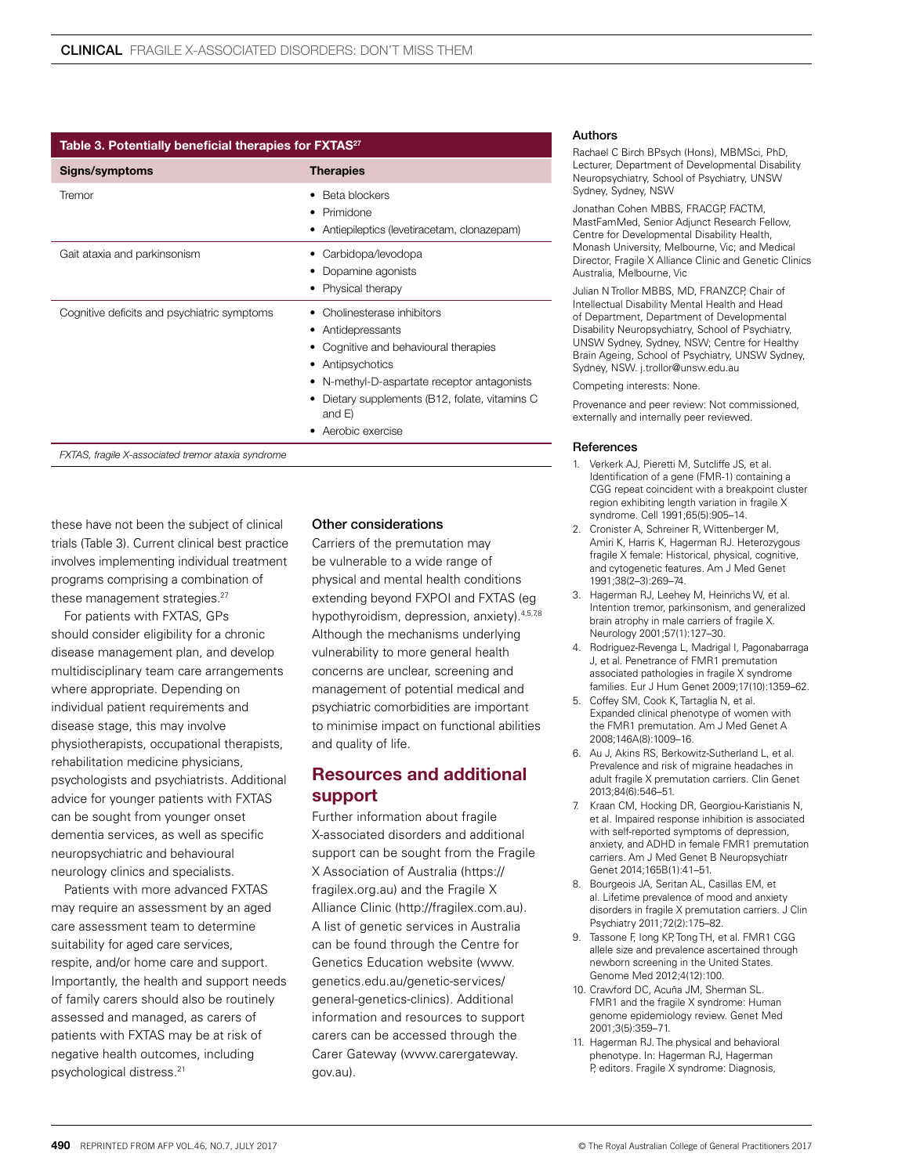| Table 3. Potentially beneficial therapies for FXTAS <sup>27</sup> |                                                                                                                                                                                                                                         |  |
|-------------------------------------------------------------------|-----------------------------------------------------------------------------------------------------------------------------------------------------------------------------------------------------------------------------------------|--|
| Signs/symptoms                                                    | <b>Therapies</b>                                                                                                                                                                                                                        |  |
| Tremor                                                            | Beta blockers<br>• Primidone<br>• Antiepileptics (levetiracetam, clonazepam)                                                                                                                                                            |  |
| Gait ataxia and parkinsonism                                      | Carbidopa/levodopa<br>Dopamine agonists<br>• Physical therapy                                                                                                                                                                           |  |
| Cognitive deficits and psychiatric symptoms                       | Cholinesterase inhibitors<br>• Antidepressants<br>Cognitive and behavioural therapies<br>• Antipsychotics<br>N-methyl-D-aspartate receptor antagonists<br>Dietary supplements (B12, folate, vitamins C<br>and $E$ )<br>Aerobic exercise |  |

*FXTAS, fragile X-associated tremor ataxia syndrome*

these have not been the subject of clinical trials (Table 3). Current clinical best practice involves implementing individual treatment programs comprising a combination of these management strategies.<sup>27</sup>

For patients with FXTAS, GPs should consider eligibility for a chronic disease management plan, and develop multidisciplinary team care arrangements where appropriate. Depending on individual patient requirements and disease stage, this may involve physiotherapists, occupational therapists, rehabilitation medicine physicians, psychologists and psychiatrists. Additional advice for younger patients with FXTAS can be sought from younger onset dementia services, as well as specific neuropsychiatric and behavioural neurology clinics and specialists.

Patients with more advanced FXTAS may require an assessment by an aged care assessment team to determine suitability for aged care services, respite, and/or home care and support. Importantly, the health and support needs of family carers should also be routinely assessed and managed, as carers of patients with FXTAS may be at risk of negative health outcomes, including psychological distress.21

#### Other considerations

Carriers of the premutation may be vulnerable to a wide range of physical and mental health conditions extending beyond FXPOI and FXTAS (eg hypothyroidism, depression, anxiety). 4,5,78 Although the mechanisms underlying vulnerability to more general health concerns are unclear, screening and management of potential medical and psychiatric comorbidities are important to minimise impact on functional abilities and quality of life.

# Resources and additional support

Further information about fragile X-associated disorders and additional support can be sought from the Fragile X Association of Australia (https:// fragilex.org.au) and the Fragile X Alliance Clinic (http://fragilex.com.au). A list of genetic services in Australia can be found through the Centre for Genetics Education website (www. genetics.edu.au/genetic-services/ general-genetics-clinics). Additional information and resources to support carers can be accessed through the Carer Gateway (www.carergateway. gov.au).

#### Authors

Rachael C Birch BPsych (Hons), MBMSci, PhD, Lecturer, Department of Developmental Disability Neuropsychiatry, School of Psychiatry, UNSW Sydney, Sydney, NSW

Jonathan Cohen MBBS, FRACGP FACTM MastFamMed, Senior Adjunct Research Fellow, Centre for Developmental Disability Health, Monash University, Melbourne, Vic; and Medical Director, Fragile X Alliance Clinic and Genetic Clinics Australia, Melbourne, Vic

Julian N Trollor MBBS, MD, FRANZCP, Chair of Intellectual Disability Mental Health and Head of Department, Department of Developmental Disability Neuropsychiatry, School of Psychiatry, UNSW Sydney, Sydney, NSW; Centre for Healthy Brain Ageing, School of Psychiatry, UNSW Sydney, Sydney, NSW. j.trollor@unsw.edu.au

Competing interests: None.

Provenance and peer review: Not commissioned, externally and internally peer reviewed.

#### References

- 1. Verkerk AJ, Pieretti M, Sutcliffe JS, et al. Identification of a gene (FMR-1) containing a CGG repeat coincident with a breakpoint cluster region exhibiting length variation in fragile X syndrome. Cell 1991;65(5):905–14.
- 2. Cronister A, Schreiner R, Wittenberger M, Amiri K, Harris K, Hagerman RJ. Heterozygous fragile X female: Historical, physical, cognitive, and cytogenetic features. Am J Med Genet 1991;38(2–3):269–74.
- 3. Hagerman RJ, Leehey M, Heinrichs W, et al. Intention tremor, parkinsonism, and generalized brain atrophy in male carriers of fragile X. Neurology 2001;57(1):127–30.
- 4. Rodriguez-Revenga L, Madrigal I, Pagonabarraga J, et al. Penetrance of FMR1 premutation associated pathologies in fragile X syndrome families. Eur J Hum Genet 2009;17(10):1359–62.
- 5. Coffey SM, Cook K, Tartaglia N, et al. Expanded clinical phenotype of women with the FMR1 premutation. Am J Med Genet A 2008;146A(8):1009–16.
- 6. Au J, Akins RS, Berkowitz-Sutherland L, et al. Prevalence and risk of migraine headaches in adult fragile X premutation carriers. Clin Genet 2013;84(6):546–51.
- 7. Kraan CM, Hocking DR, Georgiou-Karistianis N, et al. Impaired response inhibition is associated with self-reported symptoms of depression, anxiety, and ADHD in female FMR1 premutation carriers. Am J Med Genet B Neuropsychiatr Genet 2014;165B(1):41–51.
- 8. Bourgeois JA, Seritan AL, Casillas EM, et al. Lifetime prevalence of mood and anxiety disorders in fragile X premutation carriers. J Clin Psychiatry 2011;72(2):175–82.
- 9. Tassone F, Iong KP, Tong TH, et al. FMR1 CGG allele size and prevalence ascertained through newborn screening in the United States. Genome Med 2012;4(12):100.
- 10. Crawford DC, Acuña JM, Sherman SL. FMR1 and the fragile X syndrome: Human genome epidemiology review. Genet Med 2001;3(5):359–71.
- 11. Hagerman RJ. The physical and behavioral phenotype. In: Hagerman RJ, Hagerman P, editors. Fragile X syndrome: Diagnosis,